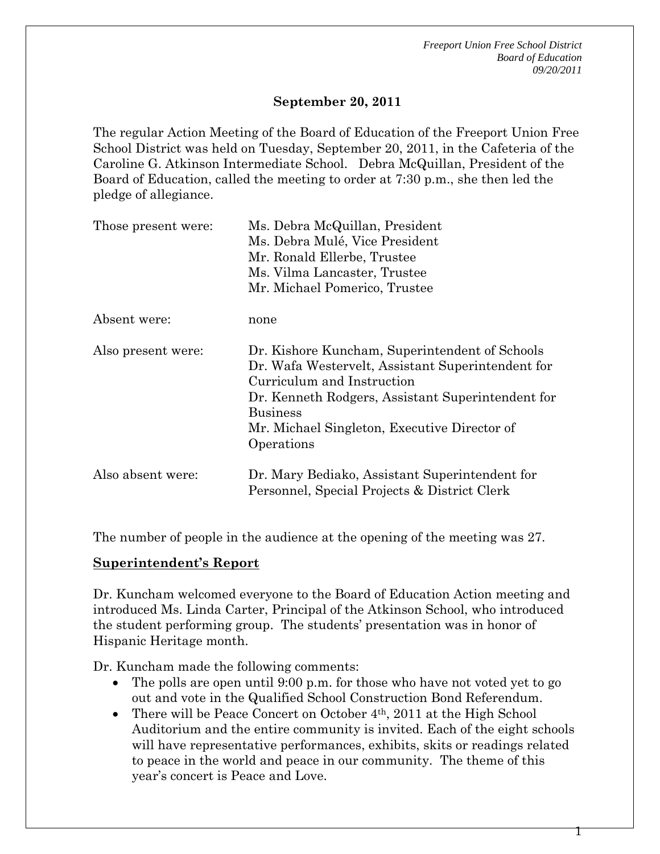### **September 20, 2011**

The regular Action Meeting of the Board of Education of the Freeport Union Free School District was held on Tuesday, September 20, 2011, in the Cafeteria of the Caroline G. Atkinson Intermediate School. Debra McQuillan, President of the Board of Education, called the meeting to order at 7:30 p.m., she then led the pledge of allegiance.

| Those present were: | Ms. Debra McQuillan, President<br>Ms. Debra Mulé, Vice President<br>Mr. Ronald Ellerbe, Trustee                                                                                                                                                                         |  |  |  |
|---------------------|-------------------------------------------------------------------------------------------------------------------------------------------------------------------------------------------------------------------------------------------------------------------------|--|--|--|
|                     | Ms. Vilma Lancaster, Trustee                                                                                                                                                                                                                                            |  |  |  |
|                     | Mr. Michael Pomerico, Trustee                                                                                                                                                                                                                                           |  |  |  |
| Absent were:        | none                                                                                                                                                                                                                                                                    |  |  |  |
| Also present were:  | Dr. Kishore Kuncham, Superintendent of Schools<br>Dr. Wafa Westervelt, Assistant Superintendent for<br>Curriculum and Instruction<br>Dr. Kenneth Rodgers, Assistant Superintendent for<br><b>Business</b><br>Mr. Michael Singleton, Executive Director of<br>Operations |  |  |  |
| Also absent were:   | Dr. Mary Bediako, Assistant Superintendent for<br>Personnel, Special Projects & District Clerk                                                                                                                                                                          |  |  |  |

The number of people in the audience at the opening of the meeting was 27.

#### **Superintendent's Report**

Dr. Kuncham welcomed everyone to the Board of Education Action meeting and introduced Ms. Linda Carter, Principal of the Atkinson School, who introduced the student performing group. The students' presentation was in honor of Hispanic Heritage month.

Dr. Kuncham made the following comments:

- The polls are open until 9:00 p.m. for those who have not voted yet to go out and vote in the Qualified School Construction Bond Referendum.
- There will be Peace Concert on October  $4<sup>th</sup>$ , 2011 at the High School Auditorium and the entire community is invited. Each of the eight schools will have representative performances, exhibits, skits or readings related to peace in the world and peace in our community. The theme of this year's concert is Peace and Love.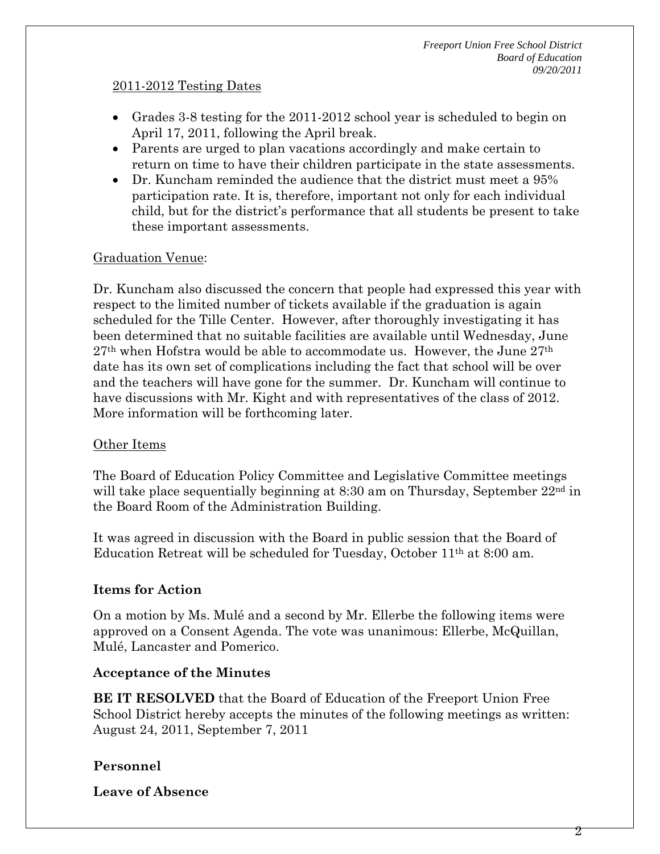#### 2011-2012 Testing Dates

- Grades 3-8 testing for the 2011-2012 school year is scheduled to begin on April 17, 2011, following the April break.
- Parents are urged to plan vacations accordingly and make certain to return on time to have their children participate in the state assessments.
- Dr. Kuncham reminded the audience that the district must meet a 95% participation rate. It is, therefore, important not only for each individual child, but for the district's performance that all students be present to take these important assessments.

## Graduation Venue:

Dr. Kuncham also discussed the concern that people had expressed this year with respect to the limited number of tickets available if the graduation is again scheduled for the Tille Center. However, after thoroughly investigating it has been determined that no suitable facilities are available until Wednesday, June 27<sup>th</sup> when Hofstra would be able to accommodate us. However, the June 27<sup>th</sup> date has its own set of complications including the fact that school will be over and the teachers will have gone for the summer. Dr. Kuncham will continue to have discussions with Mr. Kight and with representatives of the class of 2012. More information will be forthcoming later.

### Other Items

The Board of Education Policy Committee and Legislative Committee meetings will take place sequentially beginning at 8:30 am on Thursday, September  $22<sup>nd</sup>$  in the Board Room of the Administration Building.

It was agreed in discussion with the Board in public session that the Board of Education Retreat will be scheduled for Tuesday, October 11th at 8:00 am.

# **Items for Action**

On a motion by Ms. Mulé and a second by Mr. Ellerbe the following items were approved on a Consent Agenda. The vote was unanimous: Ellerbe, McQuillan, Mulé, Lancaster and Pomerico.

### **Acceptance of the Minutes**

**BE IT RESOLVED** that the Board of Education of the Freeport Union Free School District hereby accepts the minutes of the following meetings as written: August 24, 2011, September 7, 2011

# **Personnel**

**Leave of Absence**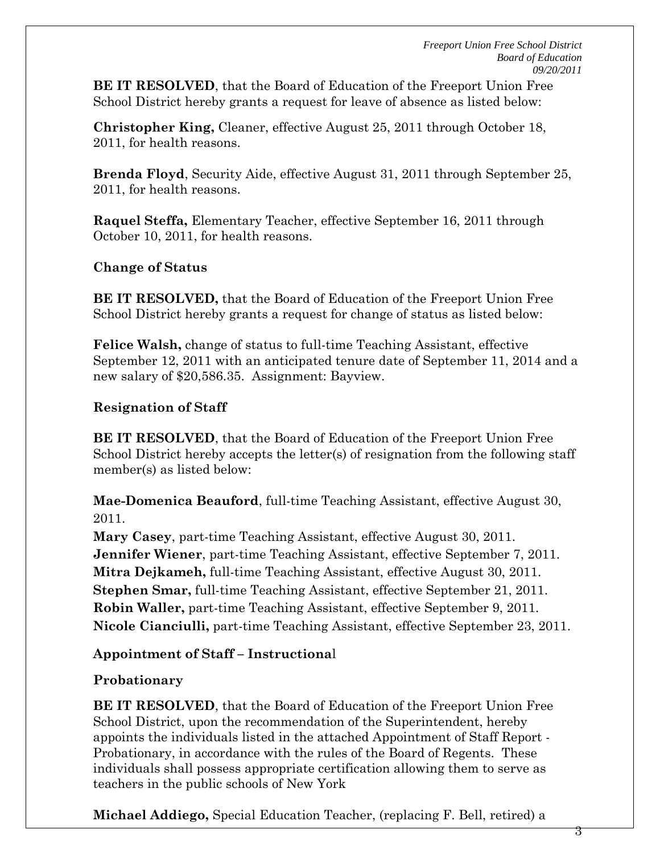3

**BE IT RESOLVED**, that the Board of Education of the Freeport Union Free School District hereby grants a request for leave of absence as listed below:

**Christopher King,** Cleaner, effective August 25, 2011 through October 18, 2011, for health reasons.

**Brenda Floyd**, Security Aide, effective August 31, 2011 through September 25, 2011, for health reasons.

**Raquel Steffa,** Elementary Teacher, effective September 16, 2011 through October 10, 2011, for health reasons.

# **Change of Status**

**BE IT RESOLVED,** that the Board of Education of the Freeport Union Free School District hereby grants a request for change of status as listed below:

**Felice Walsh,** change of status to full-time Teaching Assistant, effective September 12, 2011 with an anticipated tenure date of September 11, 2014 and a new salary of \$20,586.35. Assignment: Bayview.

# **Resignation of Staff**

**BE IT RESOLVED**, that the Board of Education of the Freeport Union Free School District hereby accepts the letter(s) of resignation from the following staff member(s) as listed below:

**Mae-Domenica Beauford**, full-time Teaching Assistant, effective August 30, 2011.

**Mary Casey**, part-time Teaching Assistant, effective August 30, 2011. **Jennifer Wiener**, part-time Teaching Assistant, effective September 7, 2011. **Mitra Dejkameh,** full-time Teaching Assistant, effective August 30, 2011. **Stephen Smar,** full-time Teaching Assistant, effective September 21, 2011. **Robin Waller,** part-time Teaching Assistant, effective September 9, 2011. **Nicole Cianciulli,** part-time Teaching Assistant, effective September 23, 2011.

# **Appointment of Staff – Instructiona**l

# **Probationary**

**BE IT RESOLVED**, that the Board of Education of the Freeport Union Free School District, upon the recommendation of the Superintendent, hereby appoints the individuals listed in the attached Appointment of Staff Report - Probationary, in accordance with the rules of the Board of Regents. These individuals shall possess appropriate certification allowing them to serve as teachers in the public schools of New York

**Michael Addiego,** Special Education Teacher, (replacing F. Bell, retired) a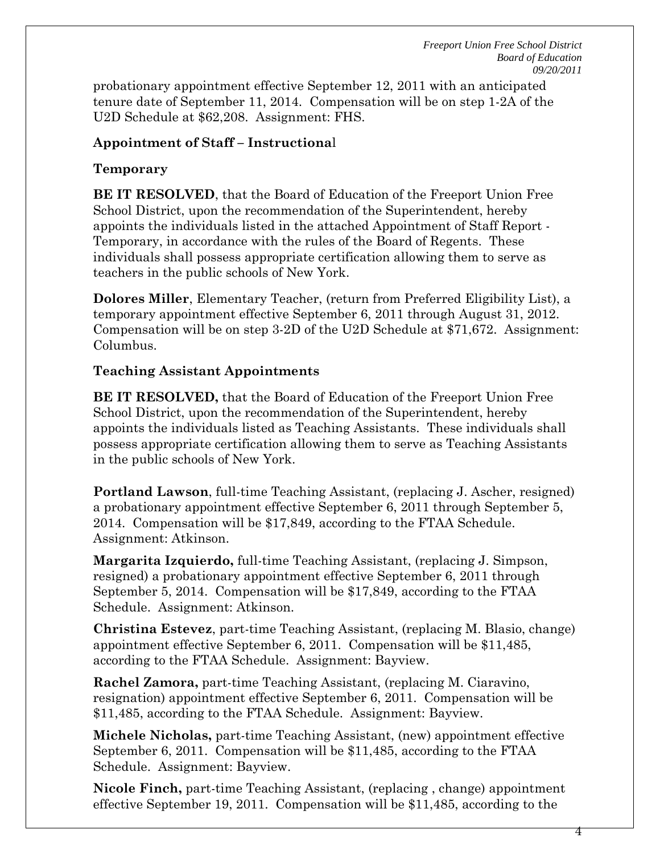probationary appointment effective September 12, 2011 with an anticipated tenure date of September 11, 2014. Compensation will be on step 1-2A of the U2D Schedule at \$62,208. Assignment: FHS.

### **Appointment of Staff – Instructiona**l

### **Temporary**

**BE IT RESOLVED**, that the Board of Education of the Freeport Union Free School District, upon the recommendation of the Superintendent, hereby appoints the individuals listed in the attached Appointment of Staff Report - Temporary, in accordance with the rules of the Board of Regents. These individuals shall possess appropriate certification allowing them to serve as teachers in the public schools of New York.

**Dolores Miller**, Elementary Teacher, (return from Preferred Eligibility List), a temporary appointment effective September 6, 2011 through August 31, 2012. Compensation will be on step 3-2D of the U2D Schedule at \$71,672. Assignment: Columbus.

#### **Teaching Assistant Appointments**

**BE IT RESOLVED,** that the Board of Education of the Freeport Union Free School District, upon the recommendation of the Superintendent, hereby appoints the individuals listed as Teaching Assistants. These individuals shall possess appropriate certification allowing them to serve as Teaching Assistants in the public schools of New York.

**Portland Lawson**, full-time Teaching Assistant, (replacing J. Ascher, resigned) a probationary appointment effective September 6, 2011 through September 5, 2014. Compensation will be \$17,849, according to the FTAA Schedule. Assignment: Atkinson.

**Margarita Izquierdo,** full-time Teaching Assistant, (replacing J. Simpson, resigned) a probationary appointment effective September 6, 2011 through September 5, 2014. Compensation will be \$17,849, according to the FTAA Schedule. Assignment: Atkinson.

**Christina Estevez**, part-time Teaching Assistant, (replacing M. Blasio, change) appointment effective September 6, 2011. Compensation will be \$11,485, according to the FTAA Schedule. Assignment: Bayview.

**Rachel Zamora,** part-time Teaching Assistant, (replacing M. Ciaravino, resignation) appointment effective September 6, 2011. Compensation will be \$11,485, according to the FTAA Schedule. Assignment: Bayview.

**Michele Nicholas,** part-time Teaching Assistant, (new) appointment effective September 6, 2011. Compensation will be \$11,485, according to the FTAA Schedule. Assignment: Bayview.

**Nicole Finch,** part-time Teaching Assistant, (replacing , change) appointment effective September 19, 2011. Compensation will be \$11,485, according to the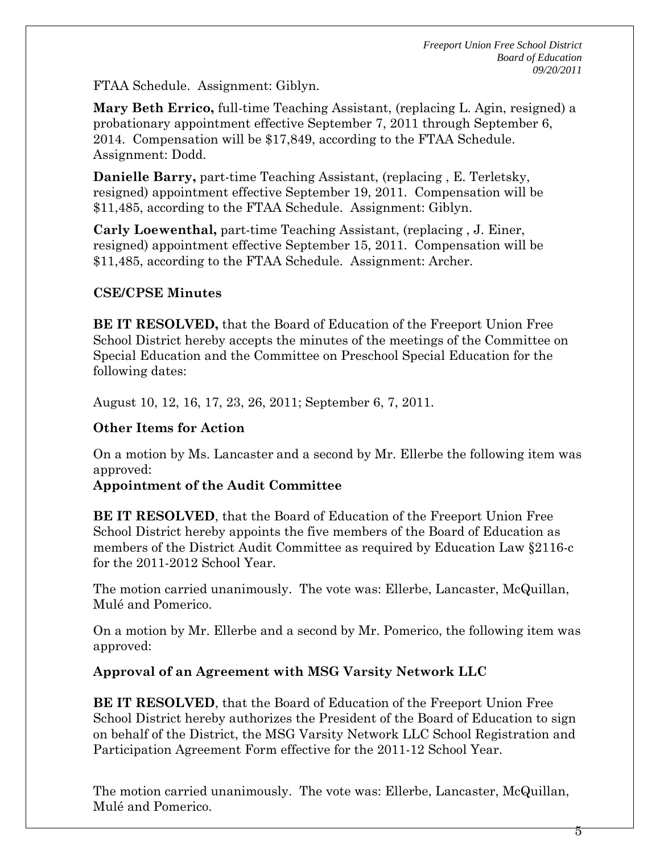FTAA Schedule. Assignment: Giblyn.

**Mary Beth Errico,** full-time Teaching Assistant, (replacing L. Agin, resigned) a probationary appointment effective September 7, 2011 through September 6, 2014. Compensation will be \$17,849, according to the FTAA Schedule. Assignment: Dodd.

**Danielle Barry,** part-time Teaching Assistant, (replacing , E. Terletsky, resigned) appointment effective September 19, 2011. Compensation will be \$11,485, according to the FTAA Schedule. Assignment: Giblyn.

**Carly Loewenthal,** part-time Teaching Assistant, (replacing , J. Einer, resigned) appointment effective September 15, 2011. Compensation will be \$11,485, according to the FTAA Schedule. Assignment: Archer.

## **CSE/CPSE Minutes**

**BE IT RESOLVED,** that the Board of Education of the Freeport Union Free School District hereby accepts the minutes of the meetings of the Committee on Special Education and the Committee on Preschool Special Education for the following dates:

August 10, 12, 16, 17, 23, 26, 2011; September 6, 7, 2011.

# **Other Items for Action**

On a motion by Ms. Lancaster and a second by Mr. Ellerbe the following item was approved:

### **Appointment of the Audit Committee**

**BE IT RESOLVED**, that the Board of Education of the Freeport Union Free School District hereby appoints the five members of the Board of Education as members of the District Audit Committee as required by Education Law §2116-c for the 2011-2012 School Year.

The motion carried unanimously. The vote was: Ellerbe, Lancaster, McQuillan, Mulé and Pomerico.

On a motion by Mr. Ellerbe and a second by Mr. Pomerico, the following item was approved:

# **Approval of an Agreement with MSG Varsity Network LLC**

**BE IT RESOLVED**, that the Board of Education of the Freeport Union Free School District hereby authorizes the President of the Board of Education to sign on behalf of the District, the MSG Varsity Network LLC School Registration and Participation Agreement Form effective for the 2011-12 School Year.

The motion carried unanimously. The vote was: Ellerbe, Lancaster, McQuillan, Mulé and Pomerico.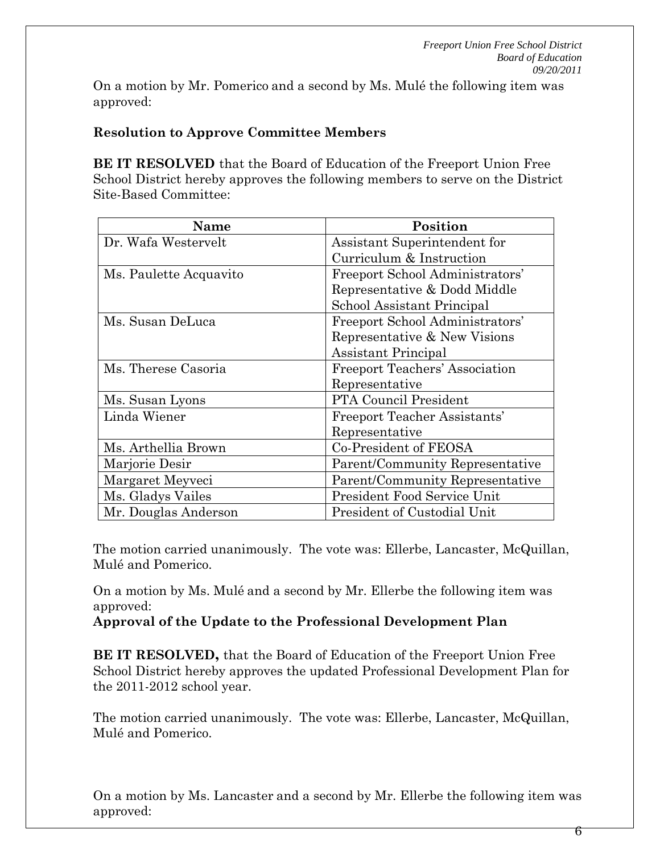On a motion by Mr. Pomerico and a second by Ms. Mulé the following item was approved:

# **Resolution to Approve Committee Members**

**BE IT RESOLVED** that the Board of Education of the Freeport Union Free School District hereby approves the following members to serve on the District Site-Based Committee:

| Name                   | Position                              |  |  |
|------------------------|---------------------------------------|--|--|
| Dr. Wafa Westervelt    | Assistant Superintendent for          |  |  |
|                        | Curriculum & Instruction              |  |  |
| Ms. Paulette Acquavito | Freeport School Administrators'       |  |  |
|                        | Representative & Dodd Middle          |  |  |
|                        | School Assistant Principal            |  |  |
| Ms. Susan DeLuca       | Freeport School Administrators'       |  |  |
|                        | Representative & New Visions          |  |  |
|                        | Assistant Principal                   |  |  |
| Ms. Therese Casoria    | <b>Freeport Teachers' Association</b> |  |  |
|                        | Representative                        |  |  |
| Ms. Susan Lyons        | PTA Council President                 |  |  |
| Linda Wiener           | <b>Freeport Teacher Assistants'</b>   |  |  |
|                        | Representative                        |  |  |
| Ms. Arthellia Brown    | Co-President of FEOSA                 |  |  |
| Marjorie Desir         | Parent/Community Representative       |  |  |
| Margaret Meyveci       | Parent/Community Representative       |  |  |
| Ms. Gladys Vailes      | President Food Service Unit           |  |  |
| Mr. Douglas Anderson   | President of Custodial Unit           |  |  |

The motion carried unanimously. The vote was: Ellerbe, Lancaster, McQuillan, Mulé and Pomerico.

On a motion by Ms. Mulé and a second by Mr. Ellerbe the following item was approved:

**Approval of the Update to the Professional Development Plan** 

**BE IT RESOLVED,** that the Board of Education of the Freeport Union Free School District hereby approves the updated Professional Development Plan for the 2011-2012 school year.

The motion carried unanimously. The vote was: Ellerbe, Lancaster, McQuillan, Mulé and Pomerico.

On a motion by Ms. Lancaster and a second by Mr. Ellerbe the following item was approved: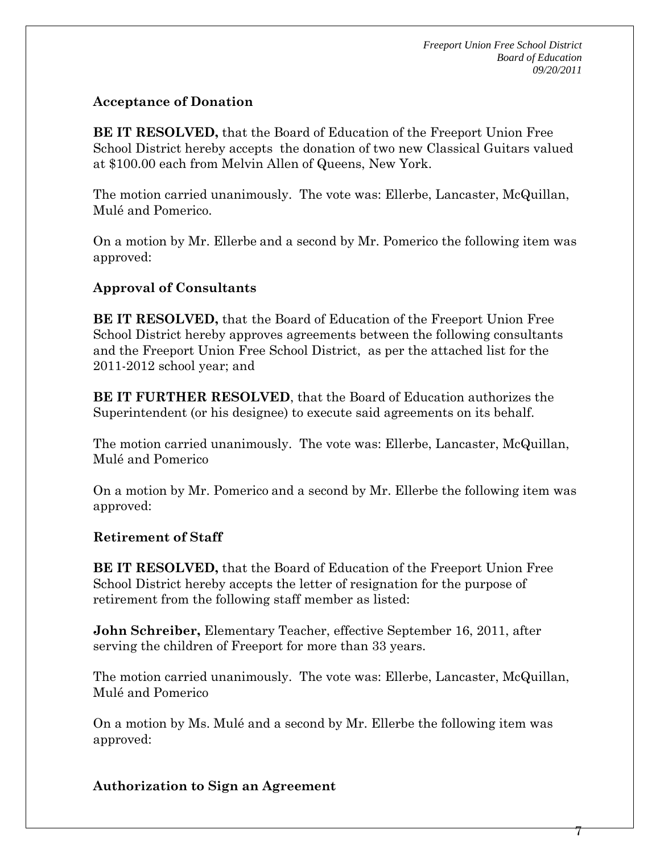$\gamma$ 

## **Acceptance of Donation**

**BE IT RESOLVED,** that the Board of Education of the Freeport Union Free School District hereby accepts the donation of two new Classical Guitars valued at \$100.00 each from Melvin Allen of Queens, New York.

The motion carried unanimously. The vote was: Ellerbe, Lancaster, McQuillan, Mulé and Pomerico.

On a motion by Mr. Ellerbe and a second by Mr. Pomerico the following item was approved:

## **Approval of Consultants**

**BE IT RESOLVED,** that the Board of Education of the Freeport Union Free School District hereby approves agreements between the following consultants and the Freeport Union Free School District, as per the attached list for the 2011-2012 school year; and

**BE IT FURTHER RESOLVED**, that the Board of Education authorizes the Superintendent (or his designee) to execute said agreements on its behalf.

The motion carried unanimously. The vote was: Ellerbe, Lancaster, McQuillan, Mulé and Pomerico

On a motion by Mr. Pomerico and a second by Mr. Ellerbe the following item was approved:

### **Retirement of Staff**

**BE IT RESOLVED,** that the Board of Education of the Freeport Union Free School District hereby accepts the letter of resignation for the purpose of retirement from the following staff member as listed:

**John Schreiber,** Elementary Teacher, effective September 16, 2011, after serving the children of Freeport for more than 33 years.

The motion carried unanimously. The vote was: Ellerbe, Lancaster, McQuillan, Mulé and Pomerico

On a motion by Ms. Mulé and a second by Mr. Ellerbe the following item was approved:

### **Authorization to Sign an Agreement**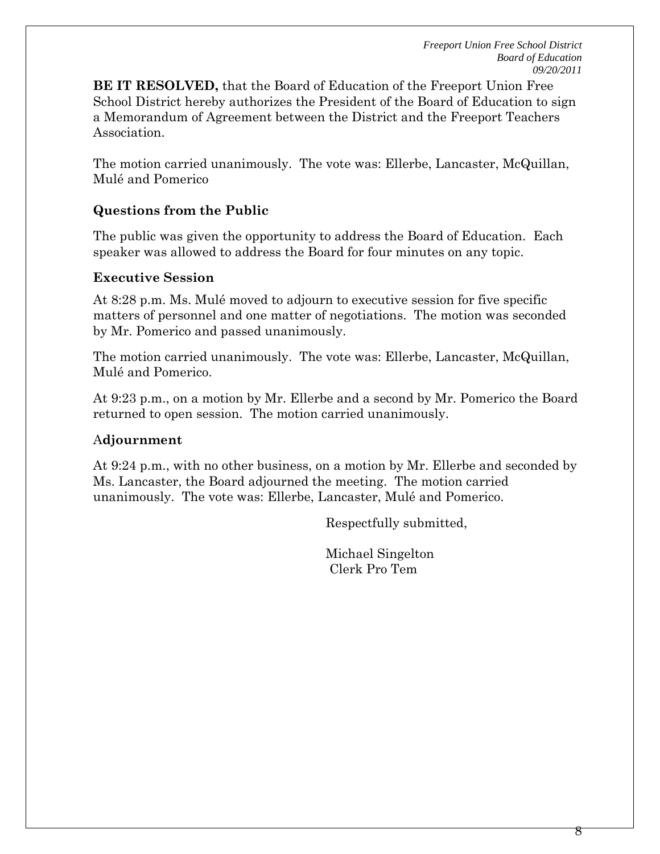**BE IT RESOLVED,** that the Board of Education of the Freeport Union Free School District hereby authorizes the President of the Board of Education to sign a Memorandum of Agreement between the District and the Freeport Teachers **Association** 

The motion carried unanimously. The vote was: Ellerbe, Lancaster, McQuillan, Mulé and Pomerico

### **Questions from the Public**

The public was given the opportunity to address the Board of Education. Each speaker was allowed to address the Board for four minutes on any topic.

### **Executive Session**

At 8:28 p.m. Ms. Mulé moved to adjourn to executive session for five specific matters of personnel and one matter of negotiations. The motion was seconded by Mr. Pomerico and passed unanimously.

The motion carried unanimously. The vote was: Ellerbe, Lancaster, McQuillan, Mulé and Pomerico.

At 9:23 p.m., on a motion by Mr. Ellerbe and a second by Mr. Pomerico the Board returned to open session. The motion carried unanimously.

### A**djournment**

At 9:24 p.m., with no other business, on a motion by Mr. Ellerbe and seconded by Ms. Lancaster, the Board adjourned the meeting.The motion carried unanimously. The vote was: Ellerbe, Lancaster, Mulé and Pomerico.

Respectfully submitted,

Michael Singelton Clerk Pro Tem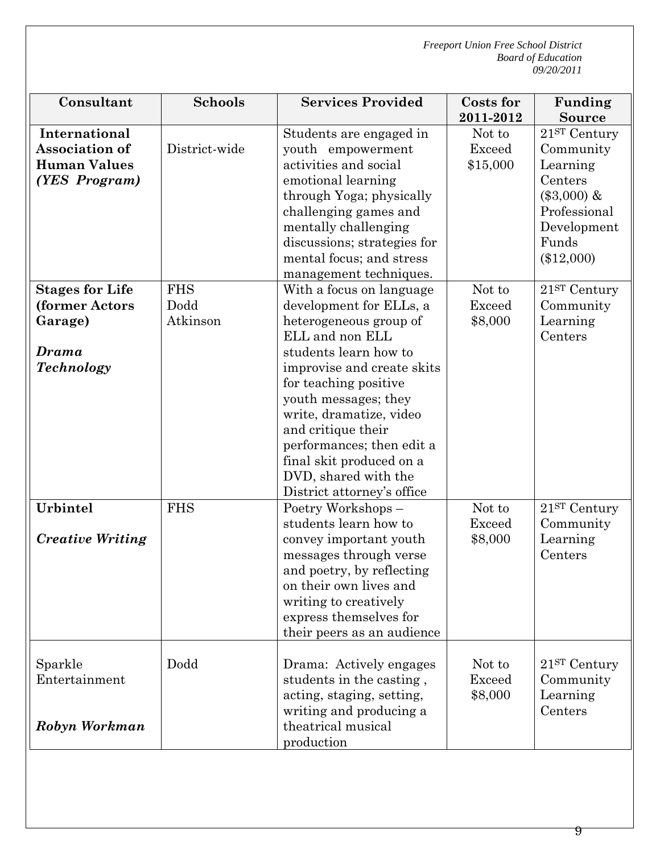| Consultant                                                                        | <b>Schools</b>                 | <b>Services Provided</b>                                                                                                                                                                                                                                                                                                                                                 | <b>Costs for</b>                                 | Funding                                                                                                                                                |
|-----------------------------------------------------------------------------------|--------------------------------|--------------------------------------------------------------------------------------------------------------------------------------------------------------------------------------------------------------------------------------------------------------------------------------------------------------------------------------------------------------------------|--------------------------------------------------|--------------------------------------------------------------------------------------------------------------------------------------------------------|
| International<br><b>Association of</b><br><b>Human Values</b><br>(YES Program)    | District-wide                  | Students are engaged in<br>youth empowerment<br>activities and social<br>emotional learning<br>through Yoga; physically<br>challenging games and<br>mentally challenging<br>discussions; strategies for<br>mental focus; and stress<br>management techniques.                                                                                                            | 2011-2012<br>Not to<br><b>Exceed</b><br>\$15,000 | <b>Source</b><br>21 <sup>ST</sup> Century<br>Community<br>Learning<br>Centers<br>$(\$3,000)$ &<br>Professional<br>Development<br>Funds<br>$(\$12,000)$ |
| <b>Stages for Life</b><br>(former Actors<br>Garage)<br>Drama<br><b>Technology</b> | <b>FHS</b><br>Dodd<br>Atkinson | With a focus on language<br>development for ELLs, a<br>heterogeneous group of<br>ELL and non ELL<br>students learn how to<br>improvise and create skits<br>for teaching positive<br>youth messages; they<br>write, dramatize, video<br>and critique their<br>performances; then edit a<br>final skit produced on a<br>DVD, shared with the<br>District attorney's office | Not to<br><b>Exceed</b><br>\$8,000               | 21 <sup>ST</sup> Century<br>Community<br>Learning<br>Centers                                                                                           |
| Urbintel<br><b>Creative Writing</b>                                               | <b>FHS</b>                     | Poetry Workshops-<br>students learn how to<br>convey important youth<br>messages through verse<br>and poetry, by reflecting<br>on their own lives and<br>writing to creatively<br>express themselves for<br>their peers as an audience                                                                                                                                   | Not to<br>Exceed<br>\$8,000                      | 21 <sup>ST</sup> Century<br>Community<br>Learning<br>Centers                                                                                           |
| Sparkle<br>Entertainment<br>Robyn Workman                                         | Dodd                           | Drama: Actively engages<br>students in the casting,<br>acting, staging, setting,<br>writing and producing a<br>theatrical musical<br>production                                                                                                                                                                                                                          | Not to<br><b>Exceed</b><br>\$8,000               | $21ST$ Century<br>Community<br>Learning<br>Centers                                                                                                     |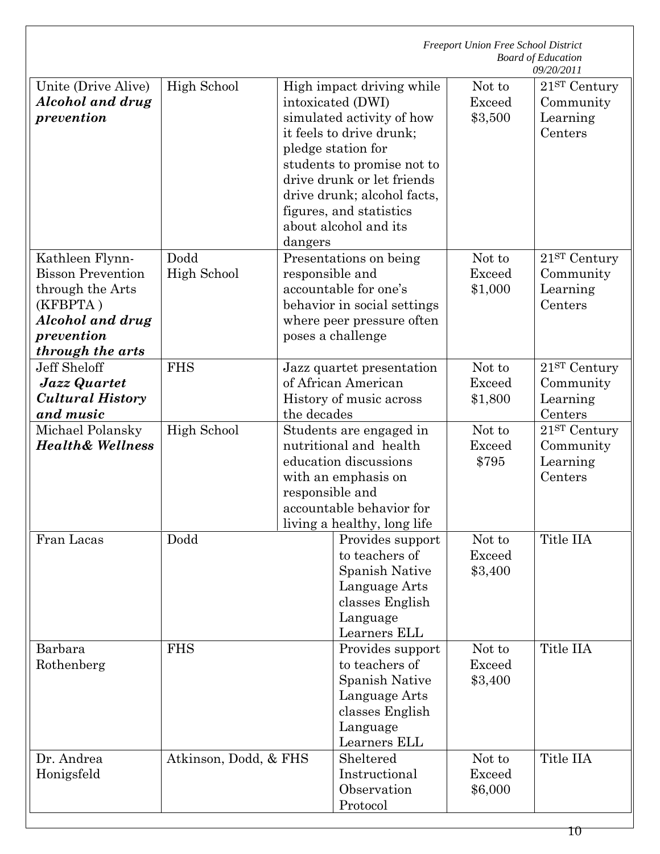|                                                                                                                                          |                       | <b>Freeport Union Free School District</b><br><b>Board of Education</b><br>09/20/2011 |                                                                                                                                                                                                                                                                              |                                    |                                                              |
|------------------------------------------------------------------------------------------------------------------------------------------|-----------------------|---------------------------------------------------------------------------------------|------------------------------------------------------------------------------------------------------------------------------------------------------------------------------------------------------------------------------------------------------------------------------|------------------------------------|--------------------------------------------------------------|
| Unite (Drive Alive)<br>Alcohol and drug<br>prevention                                                                                    | High School           | dangers                                                                               | High impact driving while<br>intoxicated (DWI)<br>simulated activity of how<br>it feels to drive drunk;<br>pledge station for<br>students to promise not to<br>drive drunk or let friends<br>drive drunk; alcohol facts,<br>figures, and statistics<br>about alcohol and its | Not to<br><b>Exceed</b><br>\$3,500 | 21ST Century<br>Community<br>Learning<br>Centers             |
| Kathleen Flynn-<br><b>Bisson Prevention</b><br>through the Arts<br>(KFBPTA)<br><b>Alcohol and drug</b><br>prevention<br>through the arts | Dodd<br>High School   | responsible and                                                                       | Presentations on being<br>accountable for one's<br>behavior in social settings<br>where peer pressure often<br>poses a challenge                                                                                                                                             | Not to<br><b>Exceed</b><br>\$1,000 | 21 <sup>ST</sup> Century<br>Community<br>Learning<br>Centers |
| <b>Jeff Sheloff</b><br>Jazz Quartet<br><b>Cultural History</b><br>and music                                                              | <b>FHS</b>            | the decades                                                                           | Jazz quartet presentation<br>of African American<br>History of music across                                                                                                                                                                                                  | Not to<br><b>Exceed</b><br>\$1,800 | 21 <sup>ST</sup> Century<br>Community<br>Learning<br>Centers |
| Michael Polansky<br><b>Health&amp; Wellness</b>                                                                                          | High School           | responsible and                                                                       | Students are engaged in<br>nutritional and health<br>education discussions<br>with an emphasis on<br>accountable behavior for<br>living a healthy, long life                                                                                                                 | Not to<br><b>Exceed</b><br>\$795   | 21 <sup>ST</sup> Century<br>Community<br>Learning<br>Centers |
| Fran Lacas                                                                                                                               | Dodd                  |                                                                                       | Provides support<br>to teachers of<br>Spanish Native<br>Language Arts<br>classes English<br>Language<br>Learners ELL                                                                                                                                                         | Not to<br><b>Exceed</b><br>\$3,400 | Title IIA                                                    |
| Barbara<br>Rothenberg                                                                                                                    | <b>FHS</b>            |                                                                                       | Provides support<br>to teachers of<br>Spanish Native<br>Language Arts<br>classes English<br>Language<br>Learners ELL                                                                                                                                                         | Not to<br><b>Exceed</b><br>\$3,400 | Title IIA                                                    |
| Dr. Andrea<br>Honigsfeld                                                                                                                 | Atkinson, Dodd, & FHS |                                                                                       | Sheltered<br>Instructional<br>Observation<br>Protocol                                                                                                                                                                                                                        | Not to<br><b>Exceed</b><br>\$6,000 | Title IIA                                                    |